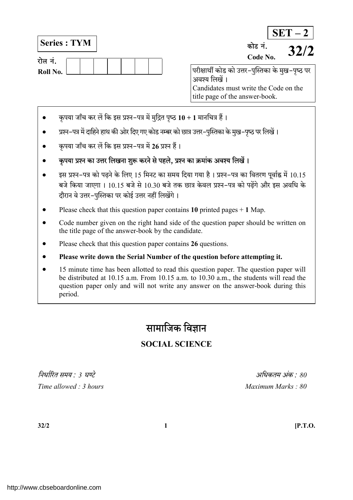Series : TYM

| रोल न.   |  |  |  |  |
|----------|--|--|--|--|
| Roll No. |  |  |  |  |

 $SET - 2$ परीक्षार्थी कोड को उत्तर-पुस्तिका के मुख-पृष्ठ पर अवश्य लिखें । कोड नं.<br>Code No.  $32/2$ 

Candidates must write the Code on the title page of the answer-book.

- कृपया जाँच कर लें कि इस प्रश्न-पत्र में मुद्रित पृष्ठ 10 + 1 मानचित्र हैं।
- प्रश्न-पत्र में दाहिने हाथ की ओर दिए गए कोड नम्बर को छात्र उत्तर-पुस्तिका के मुख-पृष्ठ पर लिखें।
- $\bullet$  कुपया जाँच कर लें कि इस प्रश्न–पत्र में 26 प्रश्न हैं।
- कुपया प्रश्न का उत्तर लिखना शुरू करने से पहले, प्रश्न का क्रमांक अवश्य लिखें।
- इस प्रश्न-पत्र को पढ़ने के लिए 15 मिनट का समय दिया गया है। प्रश्न-पत्र का वितरण पूर्वाह्न में 10.15 बजे किया जाएगा । 10.15 बजे से 10.30 बजे तक छात्र केवल प्रश्न-पत्र को पढेंगे और इस अवधि के दौरान वे उत्तर-पुस्तिका पर कोई उत्तर नहीं लिखेंगे।
- Please check that this question paper contains 10 printed pages  $+$  1 Map.
- Code number given on the right hand side of the question paper should be written on the title page of the answer-book by the candidate.
- Please check that this question paper contains 26 questions.
- Please write down the Serial Number of the question before attempting it.
- 15 minute time has been allotted to read this question paper. The question paper will be distributed at 10.15 a.m. From 10.15 a.m. to 10.30 a.m., the students will read the question paper only and will not write any answer on the answer-book during this period.

# सामाजिक विज्ञान

## SOCIAL SCIENCE

 $\hat{a}$ धिर्गीत समय  $\cdot$  3 घण्टे $\hat{a}$ Time allowed : 3 hours and the state of the Maximum Marks : 80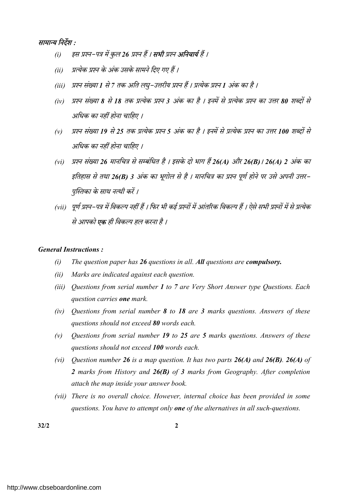## सामान्य निर्देश :

- (i) इस प्रश्न-पत्र में कुल 26 प्रश्न हैं । **सभी** प्रश्न **अनिवार्य** हैं ।
- (ii) प्रत्येक प्रश्न के अंक उसके सामने दिए गए हैं ।
- (iii) प्रश्न संख्या 1 से 7 तक अति लघु–उत्तरीय प्रश्न हैं । प्रत्येक प्रश्न 1 अंक का है ।
- (iv) प्रश्न संख्या 8 से 18 तक प्रत्येक प्रश्न 3 अंक का है । इनमें से प्रत्येक प्रश्न का उत्तर 80 शब्दों से अधिक का नहीं होना चाहिए ।
- (v) प्रश्न संख्या 19 से 25 तक प्रत्येक प्रश्न 5 अंक का है । इनमें से प्रत्येक प्रश्न का उत्तर 100 शब्दों से अधिक का नहीं होना चाहिए ।
- (vi) प्रश्न संख्या 26 मानचित्र से सम्बंधित है । इसके दो भाग हैं 26(A) और 26(B)। 26(A) 2 अंक का इतिहास से तथा 26(B) 3 अंक का भूगोल से है । मानचित्र का प्रश्न पूर्ण होने पर उसे अपनी उत्तर– पुस्तिका के साथ नत्थी करें ।
- (vii) पूर्ण प्रश्न-पत्र में विकल्प नहीं हैं । फिर भी कई प्रश्नों में आंतरिक विकल्प हैं । ऐसे सभी प्रश्नों में से प्रत्येक से आपको **एक** ही विकल्प हल करना है ।

#### General Instructions :

- $(i)$  The question paper has 26 questions in all. All questions are compulsory.
- (ii) Marks are indicated against each question.
- (iii) Questions from serial number 1 to 7 are Very Short Answer type Questions. Each question carries one mark.
- (iv) Ouestions from serial number  $\boldsymbol{8}$  to  $\boldsymbol{18}$  are 3 marks questions. Answers of these questions should not exceed 80 words each.
- (v) Ouestions from serial number 19 to 25 are 5 marks questions. Answers of these questions should not exceed 100 words each.
- (vi) Question number 26 is a map question. It has two parts  $26(A)$  and  $26(B)$ . 26(A) of 2 marks from History and 26(B) of 3 marks from Geography. After completion attach the map inside your answer book.
- (vii) There is no overall choice. However, internal choice has been provided in some questions. You have to attempt only **one** of the alternatives in all such-questions.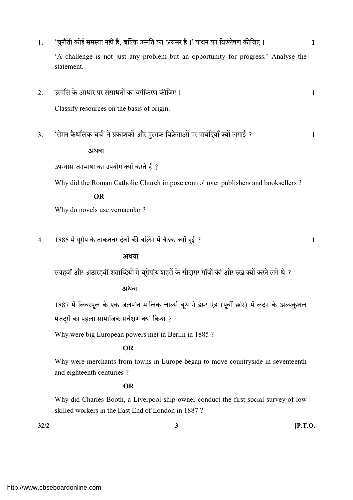| 2. | 'A challenge is not just any problem but an opportunity for progress.' Analyse the<br>statement. |              |
|----|--------------------------------------------------------------------------------------------------|--------------|
|    |                                                                                                  |              |
|    |                                                                                                  |              |
|    | उत्पत्ति के आधार पर संसाधनों का वर्गीकरण कीजिए।                                                  | 1            |
|    | Classify resources on the basis of origin.                                                       |              |
| 3. | 'रोमन कैथलिक चर्च' ने प्रकाशकों और पुस्तक विक्रेताओं पर पाबंदियाँ क्यों लगाई ?                   | 1            |
|    | अथवा                                                                                             |              |
|    | उपन्यास जनभाषा का उपयोग क्यों करते हैं ?                                                         |              |
|    | Why did the Roman Catholic Church impose control over publishers and booksellers ?               |              |
|    | <b>OR</b>                                                                                        |              |
|    | Why do novels use vernacular?                                                                    |              |
|    |                                                                                                  |              |
| 4. | 1885 में यूरोप के ताकतवर देशों की बर्लिन में बैठक क्यों हुई ?                                    | $\mathbf{1}$ |
|    | अथवा                                                                                             |              |
|    |                                                                                                  |              |
|    | सत्रहवीं और अठारहवीं शताब्दियों में यूरोपीय शहरों के सौदागर गाँवों की ओर रुख क्यों करने लगे थे ? |              |
|    | अथवा                                                                                             |              |
|    | 1887 में लिवरपूल के एक जलपोत मालिक चार्ल्स बूथ ने ईस्ट एंड (पूर्वी छोर) में लंदन के अल्पकुशल     |              |
|    | मजदूरों का पहला सामाजिक सर्वेक्षण क्यों किया ?                                                   |              |
|    | Why were big European powers met in Berlin in 1885?                                              |              |
|    | <b>OR</b>                                                                                        |              |
|    | Why were merchants from towns in Europe began to move countryside in seventeenth                 |              |
|    | and eighteenth centuries?                                                                        |              |

 Why did Charles Booth, a Liverpool ship owner conduct the first social survey of low skilled workers in the East End of London in 1887 ?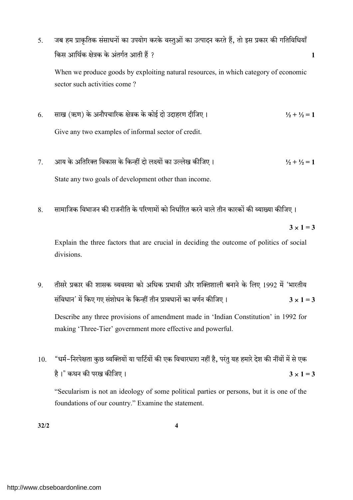5. जब हम प्राकृतिक संसाधनों का उपयोग करके वस्तुओं का उत्पादन करते हैं, तो इस प्रकार की गतिविधियाँ ? 1

When we produce goods by exploiting natural resources, in which category of economic sector such activities come ?

- 6. साख (ऋण) के अनौपचारिक क्षेत्रक के कोई दो उदाहरण दीजिए ।  $\frac{1}{2} + \frac{1}{2} = 1$ Give any two examples of informal sector of credit.
- 7. ½ + ½ = 1 State any two goals of development other than income.
- 8. सामाजिक विभाजन की राजनीति के परिणामों को निर्धारित करने वाले तीन कारकों की व्याख्या कीजिए ।

 $3 \times 1 = 3$ 

Explain the three factors that are crucial in deciding the outcome of politics of social divisions.

- 9. तीसरे प्रकार की शासक व्यवस्था को अधिक प्रभावी और शक्तिशाली बनाने के लिए 1992 में 'भारतीय संविधान' में किए गए संशोधन के किन्हीं तीन प्रावधानों का वर्णन कीजिए ।  $3 \times 1 = 3$ Describe any three provisions of amendment made in 'Indian Constitution' in 1992 for making 'Three-Tier' government more effective and powerful.
- 10. "धर्म-निरपेक्षता कुछ व्यक्तियों या पार्टियों की एक विचारधारा नहीं है, परंतु यह हमारे देश की नींवों में से एक है।" कथन की परख कीजिए ।  $3 \times 1 = 3$

"Secularism is not an ideology of some political parties or persons, but it is one of the foundations of our country." Examine the statement.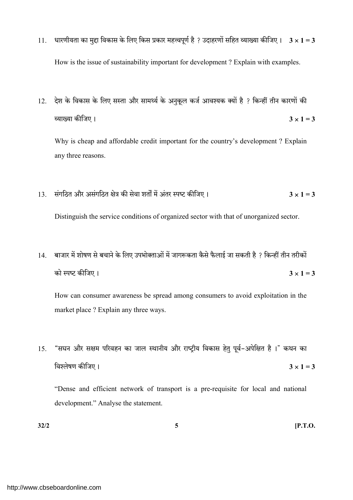- 11. धारणीयता का मुद्दा विकास के लिए किस प्रकार महत्त्वपूर्ण है ? उदाहरणों सहित व्याख्या कीजिए ।  $3 \times 1 = 3$ How is the issue of sustainability important for development ? Explain with examples.
- 12. देश के विकास के लिए सस्ता और सामर्थ्य के अनुकूल कर्ज आवश्यक क्यों है ? किन्हीं तीन कारणों की 3 1 = 3

Why is cheap and affordable credit important for the country's development ? Explain any three reasons.

- 13. संगठित और असंगठित क्षेत्र की सेवा शर्तों में अंतर स्पष्ट कीजिए।  $3 \times 1 = 3$ Distinguish the service conditions of organized sector with that of unorganized sector.
- 14. बाजार में शोषण से बचाने के लिए उपभोक्ताओं में जागरूकता कैसे फैलाई जा सकती है ? किन्हीं तीन तरीकों को स्पष्ट कीजिए ।  $3 \times 1 = 3$

How can consumer awareness be spread among consumers to avoid exploitation in the market place ? Explain any three ways.

15. "सघन और सक्षम परिवहन का जाल स्थानीय और राष्ट्रीय विकास हेतु पूर्व-अपेक्षित है।" कथन का 3 1 = 3

"Dense and efficient network of transport is a pre-requisite for local and national development." Analyse the statement.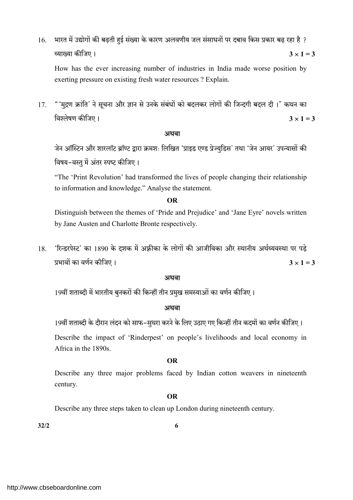16. भारत में उद्योगों की बढ़ती हुई संख्या के कारण अलवणीय जल संसाधनों पर दबाव किस प्रकार बढ़ रहा है ? 3 1 = 3

How has the ever increasing number of industries in India made worse position by exerting pressure on existing fresh water resources ? Explain.

17. "'मुद्रण क्रांति' ने सूचना और ज्ञान से उनके संबंधों को बदलकर लोगों की जिन्दगी बदल दी।" कथन का 3 1 = 3

### अथवा

जेन ऑस्टिन और शारलॉट ब्रॉण्ट द्वारा क्रमशः लिखित 'प्राइड एण्ड प्रेज्यडिस' तथा 'जेन आयर' उपन्यासों की विषय-वस्तु में अंतर स्पष्ट कीजिए।

 "The 'Print Revolution' had transformed the lives of people changing their relationship to information and knowledge." Analyse the statement.

### OR

 Distinguish between the themes of 'Pride and Prejudice' and 'Jane Eyre' novels written by Jane Austen and Charlotte Bronte respectively.

18. 'रिन्डरपेस्ट' का 1890 के दशक में अफ़्रीका के लोगों की आजीविका और स्थानीय अर्थव्यवस्था पर पडे प्रभावों का वर्णन कीजिए ।  $3 \times 1 = 3$ 

#### अथवा

19वीं शताब्दी में भारतीय बुनकरों की किन्हीं तीन प्रमुख समस्याओं का वर्णन कीजिए।

## अथवा

19वीं शताब्दी के दौरान लंदन को साफ-सुथरा करने के लिए उठाए गए किन्हीं तीन कदमों का वर्णन कीजिए।

Describe the impact of 'Rinderpest' on people's livelihoods and local economy in Africa in the 1890s.

## OR

 Describe any three major problems faced by Indian cotton weavers in nineteenth century.

## OR

Describe any three steps taken to clean up London during nineteenth century.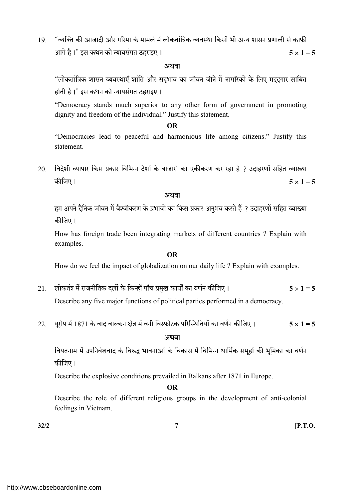19. "व्यक्ति की आजादी और गरिमा के मामले में लोकतांत्रिक व्यवस्था किसी भी अन्य शासन प्रणाली से काफी आगे है।" इस कथन को न्यायसंगत ठहराइए।  $5 \times 1 = 5$ 

#### अथवा

"लोकतांत्रिक शासन व्यवस्थाएँ शांति और सदभाव का जीवन जीने में नागरिकों के लिए मददगार साबित होती है।" इस कथन को न्यायसंगत ठहराइए।

"Democracy stands much superior to any other form of government in promoting dignity and freedom of the individual." Justify this statement.

#### OR

 "Democracies lead to peaceful and harmonious life among citizens." Justify this statement.

20. विदेशी व्यापार किस प्रकार विभिन्न देशों के बाजारों का एकीकरण कर रहा है ? उदाहरणों सहित व्याख्या 5 1 = 5

#### अथवा

हम अपने दैनिक जीवन में वैश्वीकरण के प्रभावों का किस प्रकार अनुभव करते हैं ? उदाहरणों सहित व्याख्या कीजिए।

How has foreign trade been integrating markets of different countries ? Explain with examples.

#### OR

How do we feel the impact of globalization on our daily life ? Explain with examples.

- 21. लोकतंत्र में राजनीतिक दलों के किन्हीं पाँच प्रमुख कार्यों का वर्णन कीजिए।  $5 \times 1 = 5$ Describe any five major functions of political parties performed in a democracy.
- 22. यूरोप में 1871 के बाद बाल्कन क्षेत्र में बनी विस्फोटक परिस्थितियों का वर्णन कीजिए। 5 x 1 = 5

#### अथवा

वियतनाम में उपनिवेशवाद के विरुद्ध भावनाओं के विकास में विभिन्न धार्मिक समूहों की भूमिका का वर्णन कीजिए।

Describe the explosive conditions prevailed in Balkans after 1871 in Europe.

#### OR

 Describe the role of different religious groups in the development of anti-colonial feelings in Vietnam.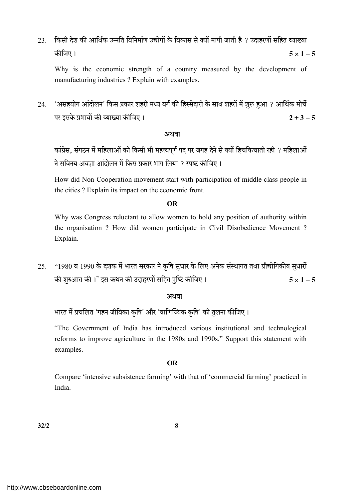23. किसी देश की आर्थिक उन्नति विनिर्माण उद्योगों के विकास से क्यों मापी जाती है ? उदाहरणों सहित व्याख्या 5 1 = 5

Why is the economic strength of a country measured by the development of manufacturing industries ? Explain with examples.

24. 'असहयोग आंदोलन' किस प्रकार शहरी मध्य वर्ग की हिस्सेदारी के साथ शहरों में शुरू हुआ ? आर्थिक मोर्चे पर इसके प्रभावों की व्याख्या कीजिए ।  $2 + 3 = 5$ 

## अथवा

कांग्रेस, संगठन में महिलाओं को किसी भी महत्त्वपूर्ण पद पर जगह देने से क्यों हिचकिचाती रही ? महिलाओं ने सविनय अवज्ञा आंदोलन में किस प्रकार भाग लिया ? स्पष्ट कीजिए।

How did Non-Cooperation movement start with participation of middle class people in the cities ? Explain its impact on the economic front.

### OR

 Why was Congress reluctant to allow women to hold any position of authority within the organisation ? How did women participate in Civil Disobedience Movement ? Explain.

25. "1980 व 1990 के दशक में भारत सरकार ने कृषि सुधार के लिए अनेक संस्थागत तथा प्रौद्योगिकीय सुधारों की शुरुआत की ।" इस कथन की उदाहरणों सहित पृष्टि कीजिए ।  $5 \times 1 = 5$ 

## स्त्रीय संस्थान के साथ संस्थान के संस्थान के संस्थान के संस्थान के संस्थान के संस्थान के संस्थान के संस्थान के

भारत में प्रचलित 'गहन जीविका कृषि' और 'वाणिज्यिक कृषि' की तुलना कीजिए।

"The Government of India has introduced various institutional and technological reforms to improve agriculture in the 1980s and 1990s." Support this statement with examples.

#### OR

 Compare 'intensive subsistence farming' with that of 'commercial farming' practiced in India.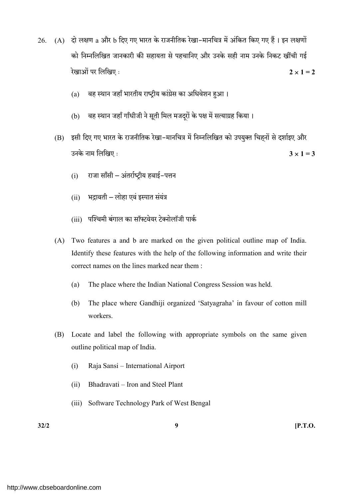- 26. (A) दो लक्षण a और b दिए गए भारत के राजनीतिक रेखा-मानचित्र में अंकित किए गए हैं। इन लक्षणों को निम्नलिखित जानकारी की सहायता से पहचानिए और उनके सही नाम उनके निकट खींची गई रेखाओं पर लिखिए :  $2 \times 1 = 2$ 
	- (a) वह स्थान जहाँ भारतीय राष्ट्रीय कांग्रेस का अधिवेशन हुआ।
	- (b) वह स्थान जहाँ गाँधीजी ने सूती मिल मजदुरों के पक्ष में सत्याग्रह किया।
	- (B) इसी दिए गए भारत के राजनीतिक रेखा-मानचित्र में निम्नलिखित को उपयुक्त चिहनों से दर्शाइए और उनके नाम लिखिए :  $3 \times 1 = 3$ 
		- $(i)$  राजा साँसी अंतर्राष्टीय हवाई-पत्तन
		- $(ii)$  भद्रावती लोहा एवं इस्पात संयंत्र
		- (iii) पश्चिमी बंगाल का सॉफ्टवेयर टेक्नोलॉजी पार्क
	- (A) Two features a and b are marked on the given political outline map of India. Identify these features with the help of the following information and write their correct names on the lines marked near them :
		- (a) The place where the Indian National Congress Session was held.
		- (b) The place where Gandhiji organized 'Satyagraha' in favour of cotton mill workers.
	- (B) Locate and label the following with appropriate symbols on the same given outline political map of India.
		- (i) Raja Sansi International Airport
		- (ii) Bhadravati Iron and Steel Plant
		- (iii) Software Technology Park of West Bengal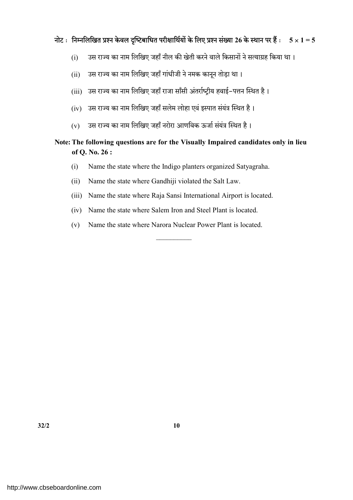## नोट: निम्नलिखित प्रश्न केवल दृष्टिबाधित परीक्षार्थियों के लिए प्रश्न संख्या 26 के स्थान पर हैं: 5  $\times$  1 = 5

- (i) उस राज्य का नाम लिखिए जहाँ नील की खेती करने वाले किसानों ने सत्याग्रह किया था।
- (ii) उस राज्य का नाम लिखिए जहाँ गांधीजी ने नमक कानून तोड़ा था।
- (iii) उस राज्य का नाम लिखिए जहाँ राजा साँसी अंतर्राष्टीय हवाई-पत्तन स्थित है।
- (iv) उस राज्य का नाम लिखिए जहाँ सलेम लोहा एवं इस्पात संयंत्र स्थित है।
- (v) उस राज्य का नाम लिखिए जहाँ नरोरा आणविक ऊर्जा संयंत्र स्थित है।

## Note: The following questions are for the Visually Impaired candidates only in lieu of Q. No. 26 :

- (i) Name the state where the Indigo planters organized Satyagraha.
- (ii) Name the state where Gandhiji violated the Salt Law.
- (iii) Name the state where Raja Sansi International Airport is located.
- (iv) Name the state where Salem Iron and Steel Plant is located.
- (v) Name the state where Narora Nuclear Power Plant is located.